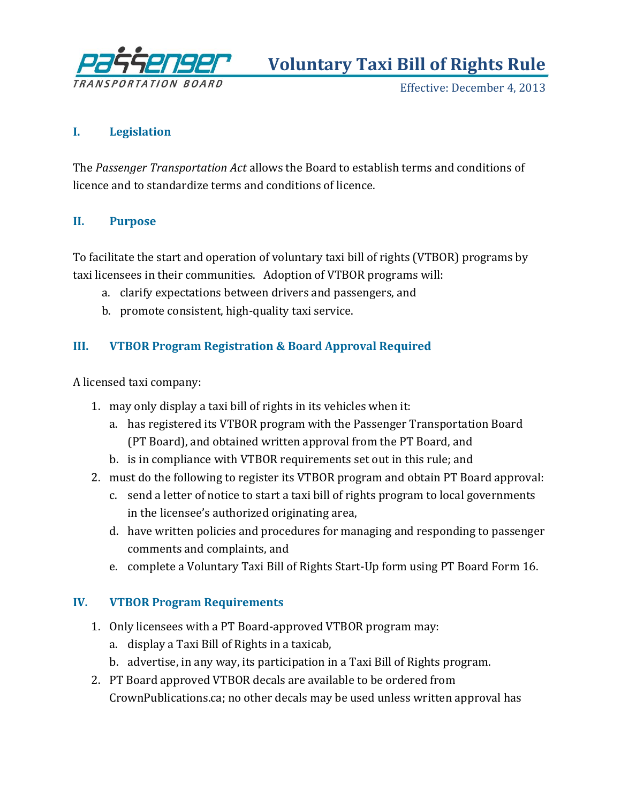

**Voluntary Taxi Bill of Rights Rule**

Effective: December 4, 2013

### **I. Legislation**

The *Passenger Transportation Act* allows the Board to establish terms and conditions of licence and to standardize terms and conditions of licence.

#### **II. Purpose**

To facilitate the start and operation of voluntary taxi bill of rights (VTBOR) programs by taxi licensees in their communities. Adoption of VTBOR programs will:

- a. clarify expectations between drivers and passengers, and
- b. promote consistent, high-quality taxi service.

# **III. VTBOR Program Registration & Board Approval Required**

A licensed taxi company:

- 1. may only display a taxi bill of rights in its vehicles when it:
	- a. has registered its VTBOR program with the Passenger Transportation Board (PT Board), and obtained written approval from the PT Board, and
	- b. is in compliance with VTBOR requirements set out in this rule; and
- 2. must do the following to register its VTBOR program and obtain PT Board approval:
	- c. send a letter of notice to start a taxi bill of rights program to local governments in the licensee's authorized originating area,
	- d. have written policies and procedures for managing and responding to passenger comments and complaints, and
	- e. complete a Voluntary Taxi Bill of Rights Start-Up form using PT Board Form 16.

## **IV. VTBOR Program Requirements**

- 1. Only licensees with a PT Board-approved VTBOR program may:
	- a. display a Taxi Bill of Rights in a taxicab,
	- b. advertise, in any way, its participation in a Taxi Bill of Rights program.
- 2. PT Board approved VTBOR decals are available to be ordered from CrownPublications.ca; no other decals may be used unless written approval has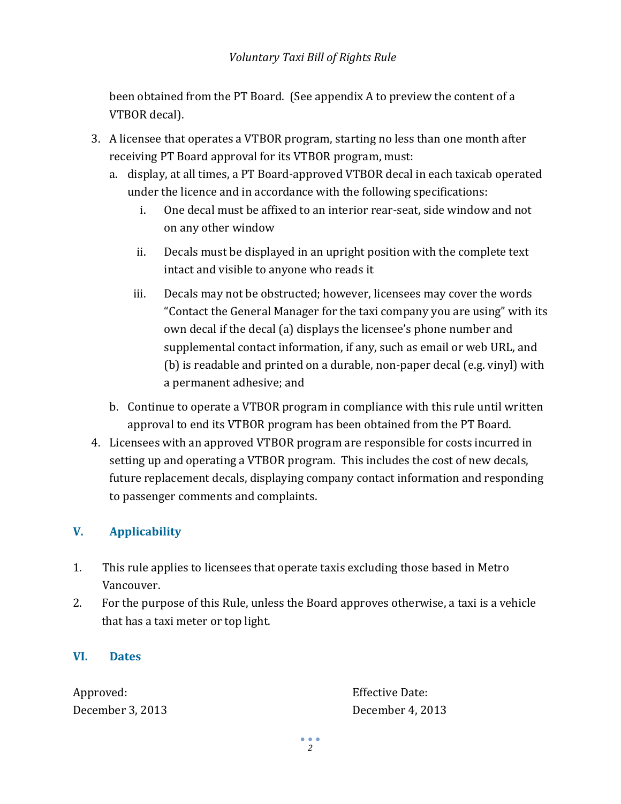been obtained from the PT Board. (See appendix A to preview the content of a VTBOR decal).

- 3. A licensee that operates a VTBOR program, starting no less than one month after receiving PT Board approval for its VTBOR program, must:
	- a. display, at all times, a PT Board-approved VTBOR decal in each taxicab operated under the licence and in accordance with the following specifications:
		- i. One decal must be affixed to an interior rear-seat, side window and not on any other window
		- ii. Decals must be displayed in an upright position with the complete text intact and visible to anyone who reads it
		- iii. Decals may not be obstructed; however, licensees may cover the words "Contact the General Manager for the taxi company you are using" with its own decal if the decal (a) displays the licensee's phone number and supplemental contact information, if any, such as email or web URL, and (b) is readable and printed on a durable, non-paper decal (e.g. vinyl) with a permanent adhesive; and
	- b. Continue to operate a VTBOR program in compliance with this rule until written approval to end its VTBOR program has been obtained from the PT Board.
- 4. Licensees with an approved VTBOR program are responsible for costs incurred in setting up and operating a VTBOR program. This includes the cost of new decals, future replacement decals, displaying company contact information and responding to passenger comments and complaints.

# **V. Applicability**

- 1. This rule applies to licensees that operate taxis excluding those based in Metro Vancouver.
- 2. For the purpose of this Rule, unless the Board approves otherwise, a taxi is a vehicle that has a taxi meter or top light.

## **VI. Dates**

Approved: Effective Date: December 3, 2013 December 4, 2013

*2*